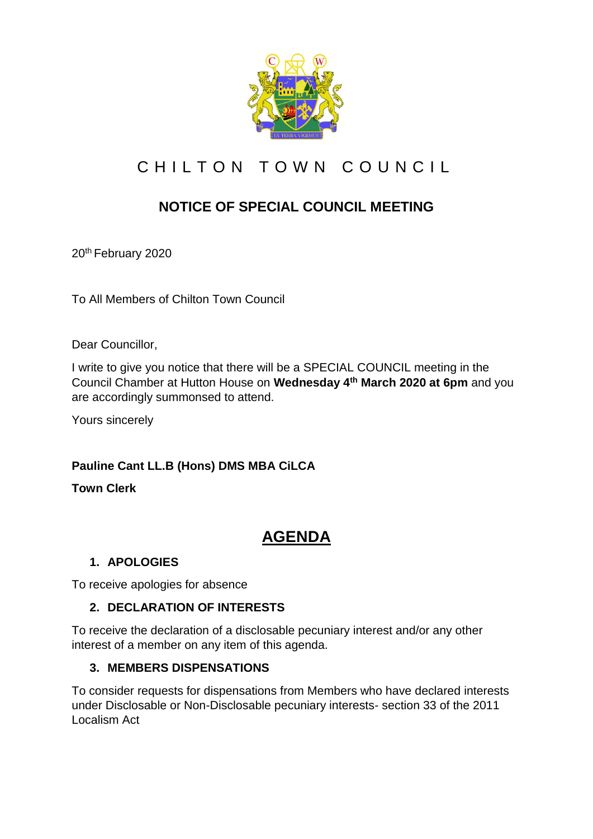

# CHILTON TOWN COUNCIL

### **NOTICE OF SPECIAL COUNCIL MEETING**

20th February 2020

To All Members of Chilton Town Council

Dear Councillor,

I write to give you notice that there will be a SPECIAL COUNCIL meeting in the Council Chamber at Hutton House on **Wednesday 4th March 2020 at 6pm** and you are accordingly summonsed to attend.

Yours sincerely

#### **Pauline Cant LL.B (Hons) DMS MBA CiLCA**

**Town Clerk**

## **AGENDA**

#### **1. APOLOGIES**

To receive apologies for absence

#### **2. DECLARATION OF INTERESTS**

To receive the declaration of a disclosable pecuniary interest and/or any other interest of a member on any item of this agenda.

#### **3. MEMBERS DISPENSATIONS**

To consider requests for dispensations from Members who have declared interests under Disclosable or Non-Disclosable pecuniary interests- section 33 of the 2011 Localism Act